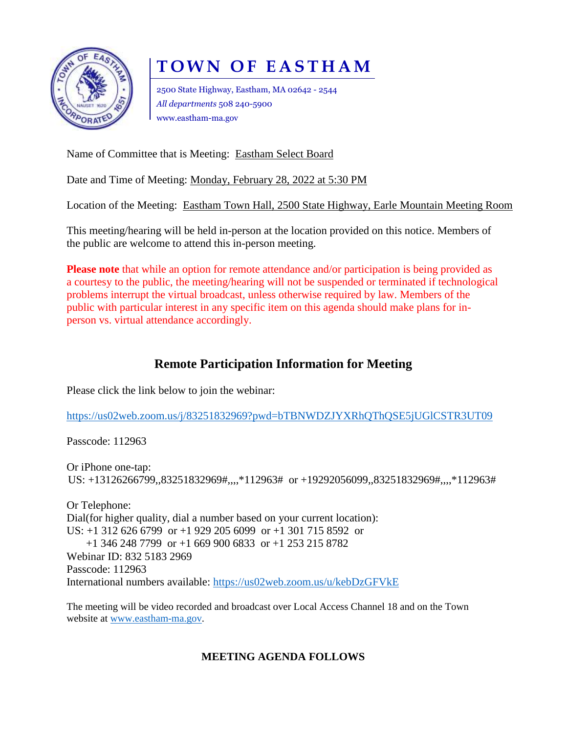

# **T O W N O F E A S T H A M**

2500 State Highway, Eastham, MA 02642 - 2544 *All departments* 508 240-5900 www.eastham-ma.gov

Name of Committee that is Meeting: Eastham Select Board

Date and Time of Meeting: Monday, February 28, 2022 at 5:30 PM

Location of the Meeting: Eastham Town Hall, 2500 State Highway, Earle Mountain Meeting Room

This meeting/hearing will be held in-person at the location provided on this notice. Members of the public are welcome to attend this in-person meeting.

**Please note** that while an option for remote attendance and/or participation is being provided as a courtesy to the public, the meeting/hearing will not be suspended or terminated if technological problems interrupt the virtual broadcast, unless otherwise required by law. Members of the public with particular interest in any specific item on this agenda should make plans for inperson vs. virtual attendance accordingly.

# **Remote Participation Information for Meeting**

Please click the link below to join the webinar:

<https://us02web.zoom.us/j/83251832969?pwd=bTBNWDZJYXRhQThQSE5jUGlCSTR3UT09>

Passcode: 112963

Or iPhone one-tap: US: +13126266799,,83251832969#,,,,\*112963# or +19292056099,,83251832969#,,,,\*112963#

Or Telephone: Dial(for higher quality, dial a number based on your current location): US: +1 312 626 6799 or +1 929 205 6099 or +1 301 715 8592 or +1 346 248 7799 or +1 669 900 6833 or +1 253 215 8782 Webinar ID: 832 5183 2969 Passcode: 112963 International numbers available:<https://us02web.zoom.us/u/kebDzGFVkE>

The meeting will be video recorded and broadcast over Local Access Channel 18 and on the Town website at [www.eastham-ma.gov.](http://www.eastham-ma.gov/)

## **MEETING AGENDA FOLLOWS**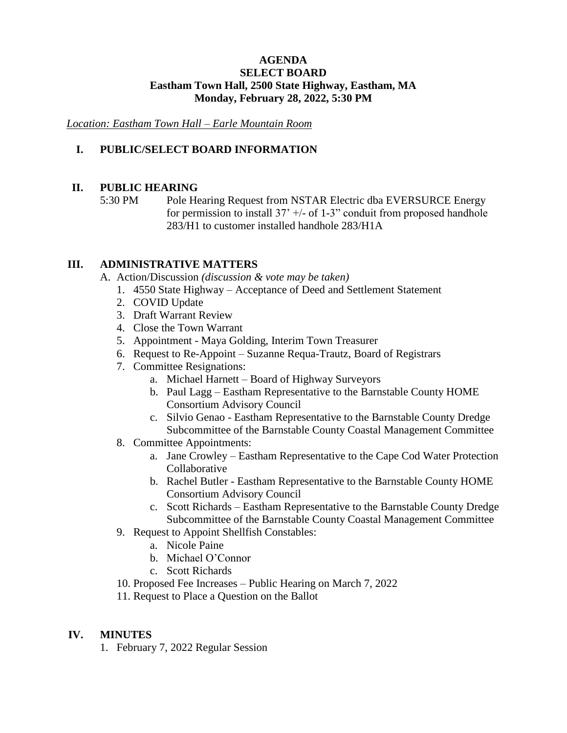#### **AGENDA SELECT BOARD Eastham Town Hall, 2500 State Highway, Eastham, MA Monday, February 28, 2022, 5:30 PM**

*Location: Eastham Town Hall – Earle Mountain Room*

## **I. PUBLIC/SELECT BOARD INFORMATION**

## **II. PUBLIC HEARING**

5:30 PM Pole Hearing Request from NSTAR Electric dba EVERSURCE Energy for permission to install  $37' +/-$  of 1-3" conduit from proposed handhole 283/H1 to customer installed handhole 283/H1A

## **III. ADMINISTRATIVE MATTERS**

A. Action/Discussion *(discussion & vote may be taken)*

- 1. 4550 State Highway Acceptance of Deed and Settlement Statement
- 2. COVID Update
- 3. Draft Warrant Review
- 4. Close the Town Warrant
- 5. Appointment Maya Golding, Interim Town Treasurer
- 6. Request to Re-Appoint Suzanne Requa-Trautz, Board of Registrars
- 7. Committee Resignations:
	- a. Michael Harnett Board of Highway Surveyors
	- b. Paul Lagg Eastham Representative to the Barnstable County HOME Consortium Advisory Council
	- c. Silvio Genao Eastham Representative to the Barnstable County Dredge Subcommittee of the Barnstable County Coastal Management Committee
- 8. Committee Appointments:
	- a. Jane Crowley Eastham Representative to the Cape Cod Water Protection **Collaborative**
	- b. Rachel Butler Eastham Representative to the Barnstable County HOME Consortium Advisory Council
	- c. Scott Richards Eastham Representative to the Barnstable County Dredge Subcommittee of the Barnstable County Coastal Management Committee
- 9. Request to Appoint Shellfish Constables:
	- a. Nicole Paine
		- b. Michael O'Connor
		- c. Scott Richards
- 10. Proposed Fee Increases Public Hearing on March 7, 2022
- 11. Request to Place a Question on the Ballot

## **IV. MINUTES**

1. February 7, 2022 Regular Session